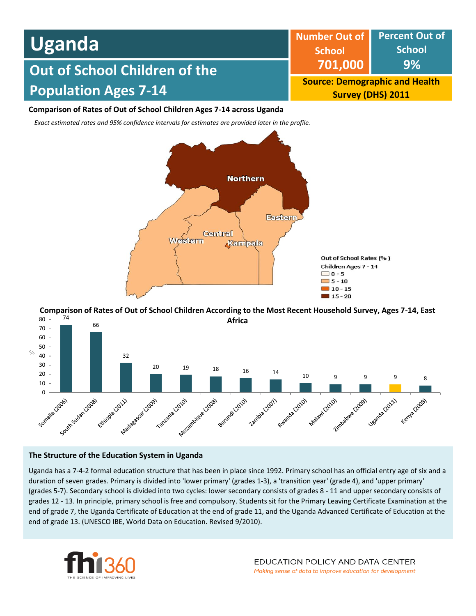

*Exact estimated rates and 95% confidence intervals for estimates are provided later in the profile.* 



74 80 **Comparison of Rates of Out of School Children According to the Most Recent Household Survey, Ages 7-14, East Africa**



# **The Structure of the Education System in Uganda**

Uganda has a 7-4-2 formal education structure that has been in place since 1992. Primary school has an official entry age of six and a duration of seven grades. Primary is divided into 'lower primary' (grades 1-3), a 'transition year' (grade 4), and 'upper primary' (grades 5-7). Secondary school is divided into two cycles: lower secondary consists of grades 8 - 11 and upper secondary consists of grades 12 - 13. In principle, primary school is free and compulsory. Students sit for the Primary Leaving Certificate Examination at the end of grade 7, the Uganda Certificate of Education at the end of grade 11, and the Uganda Advanced Certificate of Education at the end of grade 13. (UNESCO IBE, World Data on Education. Revised 9/2010).

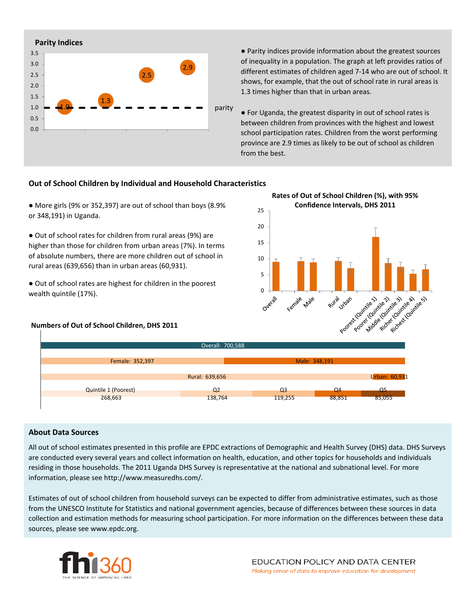

● Parity indices provide information about the greatest sources of inequality in a population. The graph at left provides ratios of different estimates of children aged 7-14 who are out of school. It shows, for example, that the out of school rate in rural areas is 1.3 times higher than that in urban areas.

● For Uganda, the greatest disparity in out of school rates is between children from provinces with the highest and lowest school participation rates. Children from the worst performing province are 2.9 times as likely to be out of school as children from the best.

### **Out of School Children by Individual and Household Characteristics**

● More girls (9% or 352,397) are out of school than boys (8.9% or 348,191) in Uganda.

● Out of school rates for children from rural areas (9%) are higher than those for children from urban areas (7%). In terms of absolute numbers, there are more children out of school in rural areas (639,656) than in urban areas (60,931).

● Out of school rates are highest for children in the poorest wealth quintile (17%).

#### **Numbers of Out of School Children, DHS 2011**





#### **About Data Sources**

All out of school estimates presented in this profile are EPDC extractions of Demographic and Health Survey (DHS) data. DHS Surveys are conducted every several years and collect information on health, education, and other topics for households and individuals residing in those households. The 2011 Uganda DHS Survey is representative at the national and subnational level. For more information, please see http://www.measuredhs.com/.

Estimates of out of school children from household surveys can be expected to differ from administrative estimates, such as those from the UNESCO Institute for Statistics and national government agencies, because of differences between these sources in data collection and estimation methods for measuring school participation. For more information on the differences between these data sources, please see www.epdc.org.

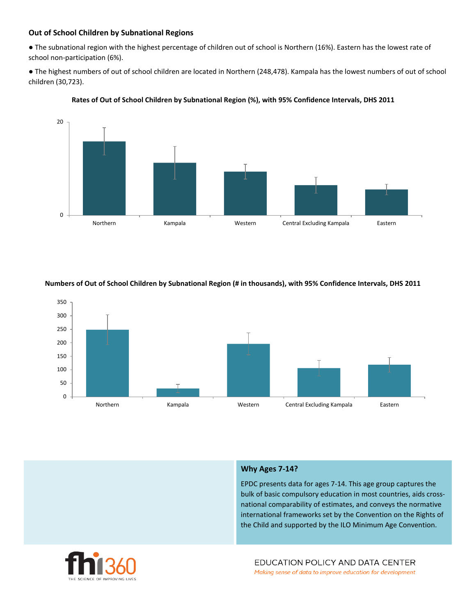# **Out of School Children by Subnational Regions**

● The subnational region with the highest percentage of children out of school is Northern (16%). Eastern has the lowest rate of school non-participation (6%).

● The highest numbers of out of school children are located in Northern (248,478). Kampala has the lowest numbers of out of school children (30,723).



### **Rates of Out of School Children by Subnational Region (%), with 95% Confidence Intervals, DHS 2011**

# **Numbers of Out of School Children by Subnational Region (# in thousands), with 95% Confidence Intervals, DHS 2011**



# **Why Ages 7-14?**

EPDC presents data for ages 7-14. This age group captures the bulk of basic compulsory education in most countries, aids crossnational comparability of estimates, and conveys the normative international frameworks set by the Convention on the Rights of the Child and supported by the ILO Minimum Age Convention.

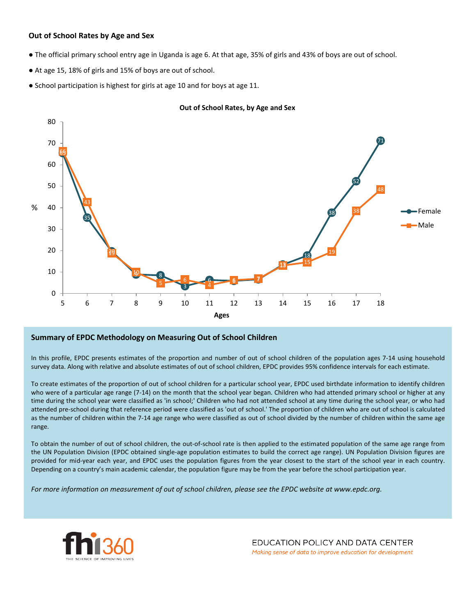### **Out of School Rates by Age and Sex**

- The official primary school entry age in Uganda is age 6. At that age, 35% of girls and 43% of boys are out of school.
- At age 15, 18% of girls and 15% of boys are out of school.
- School participation is highest for girls at age 10 and for boys at age 11.



#### **Out of School Rates, by Age and Sex**

#### **Summary of EPDC Methodology on Measuring Out of School Children**

In this profile, EPDC presents estimates of the proportion and number of out of school children of the population ages 7-14 using household survey data. Along with relative and absolute estimates of out of school children, EPDC provides 95% confidence intervals for each estimate.

To create estimates of the proportion of out of school children for a particular school year, EPDC used birthdate information to identify children who were of a particular age range (7-14) on the month that the school year began. Children who had attended primary school or higher at any time during the school year were classified as 'in school;' Children who had not attended school at any time during the school year, or who had attended pre-school during that reference period were classified as 'out of school.' The proportion of children who are out of school is calculated as the number of children within the 7-14 age range who were classified as out of school divided by the number of children within the same age range.

To obtain the number of out of school children, the out-of-school rate is then applied to the estimated population of the same age range from the UN Population Division (EPDC obtained single-age population estimates to build the correct age range). UN Population Division figures are provided for mid-year each year, and EPDC uses the population figures from the year closest to the start of the school year in each country. Depending on a country's main academic calendar, the population figure may be from the year before the school participation year.

For more information on measurement of out of school children, please see the EPDC website at www.epdc.org.



EDUCATION POLICY AND DATA CENTER Making sense of data to improve education for development